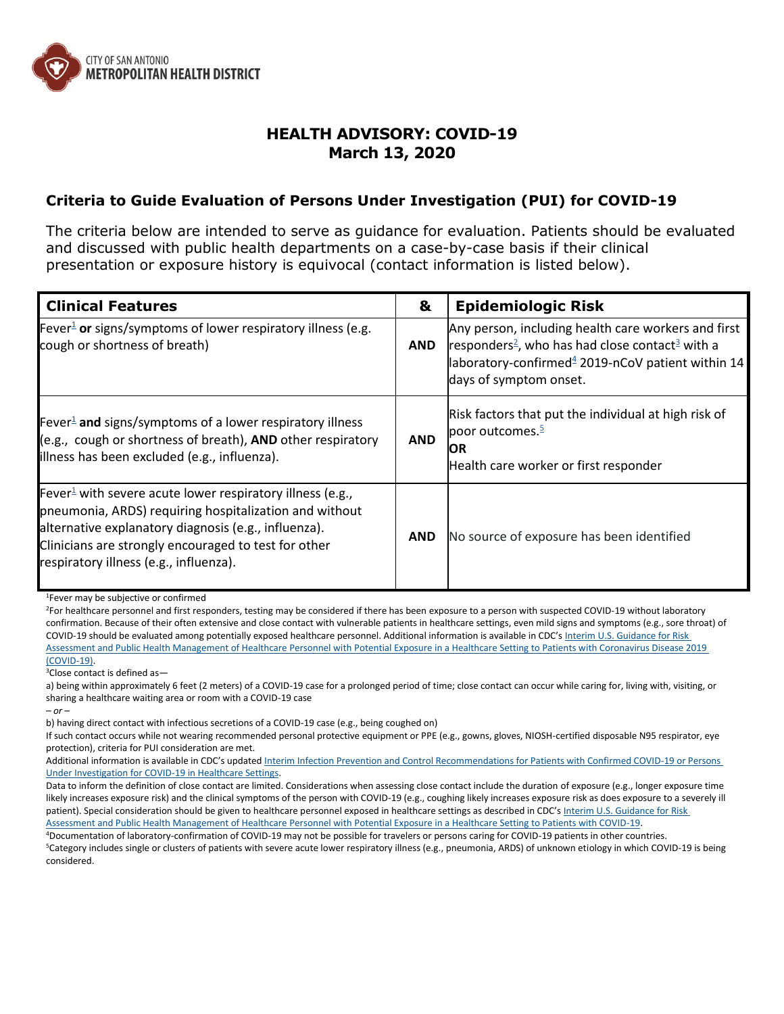

## **HEALTH ADVISORY: COVID-19 March 13, 2020**

## **Criteria to Guide Evaluation of Persons Under Investigation (PUI) for COVID-19**

The criteria below are intended to serve as guidance for evaluation. Patients should be evaluated and discussed with public health departments on a case-by-case basis if their clinical presentation or exposure history is equivocal (contact information is listed below).

| <b>Clinical Features</b>                                                                                                                                                                                                                                                                  | &          | <b>Epidemiologic Risk</b>                                                                                                                                                                                                 |
|-------------------------------------------------------------------------------------------------------------------------------------------------------------------------------------------------------------------------------------------------------------------------------------------|------------|---------------------------------------------------------------------------------------------------------------------------------------------------------------------------------------------------------------------------|
| Fever <sup>1</sup> or signs/symptoms of lower respiratory illness (e.g.<br>cough or shortness of breath)                                                                                                                                                                                  | <b>AND</b> | Any person, including health care workers and first<br>responders <sup>2</sup> , who has had close contact <sup>3</sup> with a<br>laboratory-confirmed <sup>4</sup> 2019-nCoV patient within 14<br>days of symptom onset. |
| Fever <sup>1</sup> and signs/symptoms of a lower respiratory illness<br>(e.g., cough or shortness of breath), AND other respiratory<br>illness has been excluded (e.g., influenza).                                                                                                       | <b>AND</b> | Risk factors that put the individual at high risk of<br>poor outcomes. $\frac{5}{2}$<br><b>IOR</b><br>Health care worker or first responder                                                                               |
| Fever <sup>1</sup> with severe acute lower respiratory illness (e.g.,<br>pneumonia, ARDS) requiring hospitalization and without<br>alternative explanatory diagnosis (e.g., influenza).<br>Clinicians are strongly encouraged to test for other<br>respiratory illness (e.g., influenza). | <b>AND</b> | No source of exposure has been identified                                                                                                                                                                                 |

<sup>1</sup>Fever may be subjective or confirmed

<sup>2</sup>For healthcare personnel and first responders, testing may be considered if there has been exposure to a person with suspected COVID-19 without laboratory confirmation. Because of their often extensive and close contact with vulnerable patients in healthcare settings, even mild signs and symptoms (e.g., sore throat) of COVID-19 should be evaluated among potentially exposed healthcare personnel. Additional information is available in CDC's [Interim U.S. Guidance for Risk](https://www.cdc.gov/coronavirus/2019-ncov/hcp/guidance-risk-assesment-hcp.html)  [Assessment and Public Health Management of Healthcare Personnel with Potential Exposure in a Healthcare Setting to Patients with Coronavirus Disease 2019](https://www.cdc.gov/coronavirus/2019-ncov/hcp/guidance-risk-assesment-hcp.html)  [\(COVID-19\).](https://www.cdc.gov/coronavirus/2019-ncov/hcp/guidance-risk-assesment-hcp.html)

<sup>3</sup>Close contact is defined as—

a) being within approximately 6 feet (2 meters) of a COVID-19 case for a prolonged period of time; close contact can occur while caring for, living with, visiting, or sharing a healthcare waiting area or room with a COVID-19 case

*– or –*

b) having direct contact with infectious secretions of a COVID-19 case (e.g., being coughed on)

If such contact occurs while not wearing recommended personal protective equipment or PPE (e.g., gowns, gloves, NIOSH-certified disposable N95 respirator, eye protection), criteria for PUI consideration are met.

Additional information is available in CDC's updated Interim Infection Prevention and Control Recommendations for Patients with Confirmed COVID-19 or Persons [Under Investigation for COVID-19 in Healthcare Settings.](https://www.cdc.gov/coronavirus/2019-ncov/infection-control/control-recommendations.html)

Data to inform the definition of close contact are limited. Considerations when assessing close contact include the duration of exposure (e.g., longer exposure time likely increases exposure risk) and the clinical symptoms of the person with COVID-19 (e.g., coughing likely increases exposure risk as does exposure to a severely ill patient). Special consideration should be given to healthcare personnel exposed in healthcare settings as described in CDC's Interim U.S. Guidance for Risk [Assessment and Public Health Management of Healthcare Personnel with Potential Exposure in a Healthcare Setting to Patients with COVID-19.](https://www.cdc.gov/coronavirus/2019-ncov/hcp/guidance-risk-assesment-hcp.html)

<sup>4</sup>Documentation of laboratory-confirmation of COVID-19 may not be possible for travelers or persons caring for COVID-19 patients in other countries.

<sup>5</sup>Category includes single or clusters of patients with severe acute lower respiratory illness (e.g., pneumonia, ARDS) of unknown etiology in which COVID-19 is being considered.